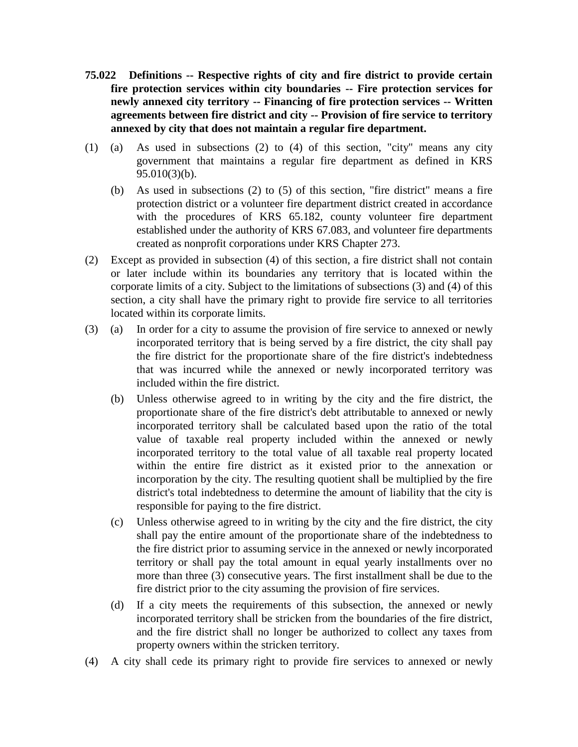- **75.022 Definitions -- Respective rights of city and fire district to provide certain fire protection services within city boundaries -- Fire protection services for newly annexed city territory -- Financing of fire protection services -- Written agreements between fire district and city -- Provision of fire service to territory annexed by city that does not maintain a regular fire department.**
- (1) (a) As used in subsections (2) to (4) of this section, "city" means any city government that maintains a regular fire department as defined in KRS 95.010(3)(b).
	- (b) As used in subsections (2) to (5) of this section, "fire district" means a fire protection district or a volunteer fire department district created in accordance with the procedures of KRS 65.182, county volunteer fire department established under the authority of KRS 67.083, and volunteer fire departments created as nonprofit corporations under KRS Chapter 273.
- (2) Except as provided in subsection (4) of this section, a fire district shall not contain or later include within its boundaries any territory that is located within the corporate limits of a city. Subject to the limitations of subsections (3) and (4) of this section, a city shall have the primary right to provide fire service to all territories located within its corporate limits.
- (3) (a) In order for a city to assume the provision of fire service to annexed or newly incorporated territory that is being served by a fire district, the city shall pay the fire district for the proportionate share of the fire district's indebtedness that was incurred while the annexed or newly incorporated territory was included within the fire district.
	- (b) Unless otherwise agreed to in writing by the city and the fire district, the proportionate share of the fire district's debt attributable to annexed or newly incorporated territory shall be calculated based upon the ratio of the total value of taxable real property included within the annexed or newly incorporated territory to the total value of all taxable real property located within the entire fire district as it existed prior to the annexation or incorporation by the city. The resulting quotient shall be multiplied by the fire district's total indebtedness to determine the amount of liability that the city is responsible for paying to the fire district.
	- (c) Unless otherwise agreed to in writing by the city and the fire district, the city shall pay the entire amount of the proportionate share of the indebtedness to the fire district prior to assuming service in the annexed or newly incorporated territory or shall pay the total amount in equal yearly installments over no more than three (3) consecutive years. The first installment shall be due to the fire district prior to the city assuming the provision of fire services.
	- (d) If a city meets the requirements of this subsection, the annexed or newly incorporated territory shall be stricken from the boundaries of the fire district, and the fire district shall no longer be authorized to collect any taxes from property owners within the stricken territory.
- (4) A city shall cede its primary right to provide fire services to annexed or newly